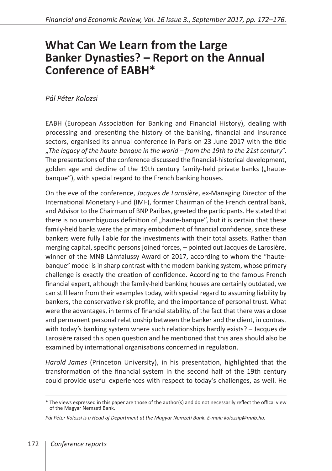## **What Can We Learn from the Large Banker Dynasties? – Report on the Annual Conference of EABH\***

*Pál Péter Kolozsi*

EABH (European Association for Banking and Financial History), dealing with processing and presenting the history of the banking, financial and insurance sectors, organised its annual conference in Paris on 23 June 2017 with the title "*The legacy of the haute-banque in the world – from the 19th to the 21st century*". The presentations of the conference discussed the financial-historical development, golden age and decline of the 19th century family-held private banks ("hautebanque"), with special regard to the French banking houses.

On the eve of the conference, *Jacques de Larosière*, ex-Managing Director of the International Monetary Fund (IMF), former Chairman of the French central bank, and Advisor to the Chairman of BNP Paribas, greeted the participants. He stated that there is no unambiguous definition of "haute-banque", but it is certain that these family-held banks were the primary embodiment of financial confidence, since these bankers were fully liable for the investments with their total assets. Rather than merging capital, specific persons joined forces, – pointed out Jacques de Larosière, winner of the MNB Lámfalussy Award of 2017, according to whom the "hautebanque" model is in sharp contrast with the modern banking system, whose primary challenge is exactly the creation of confidence. According to the famous French financial expert, although the family-held banking houses are certainly outdated, we can still learn from their examples today, with special regard to assuming liability by bankers, the conservative risk profile, and the importance of personal trust. What were the advantages, in terms of financial stability, of the fact that there was a close and permanent personal relationship between the banker and the client, in contrast with today's banking system where such relationships hardly exists? – Jacques de Larosière raised this open question and he mentioned that this area should also be examined by international organisations concerned in regulation.

*Harold James* (Princeton University), in his presentation, highlighted that the transformation of the financial system in the second half of the 19th century could provide useful experiences with respect to today's challenges, as well. He

<sup>\*</sup> The views expressed in this paper are those of the author(s) and do not necessarily reflect the offical view of the Magyar Nemzeti Bank.

*Pál Péter Kolozsi is a Head of Department at the Magyar Nemzeti Bank. E-mail: kolozsip@mnb.hu.*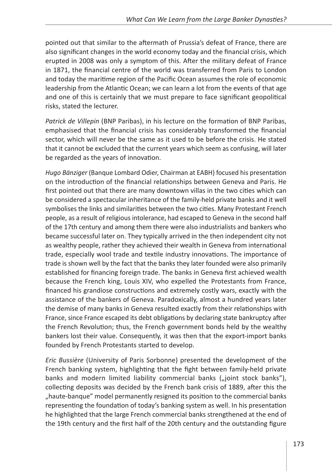pointed out that similar to the aftermath of Prussia's defeat of France, there are also significant changes in the world economy today and the financial crisis, which erupted in 2008 was only a symptom of this. After the military defeat of France in 1871, the financial centre of the world was transferred from Paris to London and today the maritime region of the Pacific Ocean assumes the role of economic leadership from the Atlantic Ocean; we can learn a lot from the events of that age and one of this is certainly that we must prepare to face significant geopolitical risks, stated the lecturer.

*Patrick de Villepin* (BNP Paribas), in his lecture on the formation of BNP Paribas, emphasised that the financial crisis has considerably transformed the financial sector, which will never be the same as it used to be before the crisis. He stated that it cannot be excluded that the current years which seem as confusing, will later be regarded as the years of innovation.

*Hugo Bänziger* (Banque Lombard Odier, Chairman at EABH) focused his presentation on the introduction of the financial relationships between Geneva and Paris. He first pointed out that there are many downtown villas in the two cities which can be considered a spectacular inheritance of the family-held private banks and it well symbolises the links and similarities between the two cities. Many Protestant French people, as a result of religious intolerance, had escaped to Geneva in the second half of the 17th century and among them there were also industrialists and bankers who became successful later on. They typically arrived in the then independent city not as wealthy people, rather they achieved their wealth in Geneva from international trade, especially wool trade and textile industry innovations. The importance of trade is shown well by the fact that the banks they later founded were also primarily established for financing foreign trade. The banks in Geneva first achieved wealth because the French king, Louis XIV, who expelled the Protestants from France, financed his grandiose constructions and extremely costly wars, exactly with the assistance of the bankers of Geneva. Paradoxically, almost a hundred years later the demise of many banks in Geneva resulted exactly from their relationships with France, since France escaped its debt obligations by declaring state bankruptcy after the French Revolution; thus, the French government bonds held by the wealthy bankers lost their value. Consequently, it was then that the export-import banks founded by French Protestants started to develop.

*Eric Bussière* (University of Paris Sorbonne) presented the development of the French banking system, highlighting that the fight between family-held private banks and modern limited liability commercial banks ("joint stock banks"), collecting deposits was decided by the French bank crisis of 1889, after this the "haute-banque" model permanently resigned its position to the commercial banks representing the foundation of today's banking system as well. In his presentation he highlighted that the large French commercial banks strengthened at the end of the 19th century and the first half of the 20th century and the outstanding figure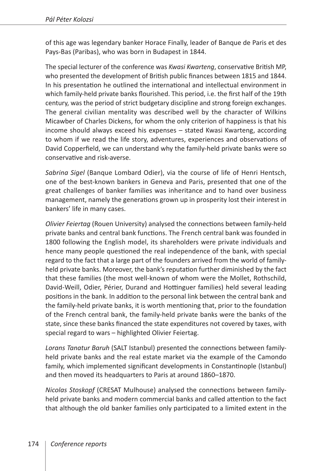of this age was legendary banker Horace Finally, leader of Banque de Paris et des Pays-Bas (Paribas), who was born in Budapest in 1844.

The special lecturer of the conference was *Kwasi Kwarteng*, conservative British MP, who presented the development of British public finances between 1815 and 1844. In his presentation he outlined the international and intellectual environment in which family-held private banks flourished. This period, i.e. the first half of the 19th century, was the period of strict budgetary discipline and strong foreign exchanges. The general civilian mentality was described well by the character of Wilkins Micawber of Charles Dickens, for whom the only criterion of happiness is that his income should always exceed his expenses – stated Kwasi Kwarteng, according to whom if we read the life story, adventures, experiences and observations of David Copperfield, we can understand why the family-held private banks were so conservative and risk-averse.

*Sabrina Sigel* (Banque Lombard Odier), via the course of life of Henri Hentsch, one of the best-known bankers in Geneva and Paris, presented that one of the great challenges of banker families was inheritance and to hand over business management, namely the generations grown up in prosperity lost their interest in bankers' life in many cases.

*Olivier Feiertag* (Rouen University) analysed the connections between family-held private banks and central bank functions. The French central bank was founded in 1800 following the English model, its shareholders were private individuals and hence many people questioned the real independence of the bank, with special regard to the fact that a large part of the founders arrived from the world of familyheld private banks. Moreover, the bank's reputation further diminished by the fact that these families (the most well-known of whom were the Mollet, Rothschild, David-Weill, Odier, Périer, Durand and Hottinguer families) held several leading positions in the bank. In addition to the personal link between the central bank and the family-held private banks, it is worth mentioning that, prior to the foundation of the French central bank, the family-held private banks were the banks of the state, since these banks financed the state expenditures not covered by taxes, with special regard to wars – highlighted Olivier Feiertag.

*Lorans Tanatur Baruh* (SALT Istanbul) presented the connections between familyheld private banks and the real estate market via the example of the Camondo family, which implemented significant developments in Constantinople (Istanbul) and then moved its headquarters to Paris at around 1860–1870.

*Nicolas Stoskopf* (CRESAT Mulhouse) analysed the connections between familyheld private banks and modern commercial banks and called attention to the fact that although the old banker families only participated to a limited extent in the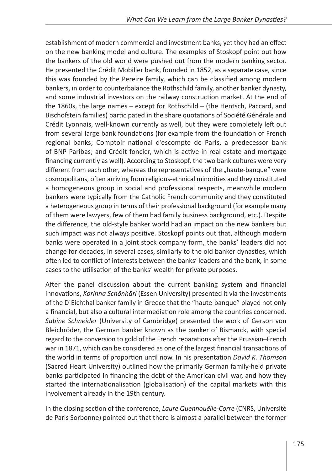establishment of modern commercial and investment banks, yet they had an effect on the new banking model and culture. The examples of Stoskopf point out how the bankers of the old world were pushed out from the modern banking sector. He presented the Crédit Mobilier bank, founded in 1852, as a separate case, since this was founded by the Pereire family, which can be classified among modern bankers, in order to counterbalance the Rothschild family, another banker dynasty, and some industrial investors on the railway construction market. At the end of the 1860s, the large names – except for Rothschild – (the Hentsch, Paccard, and Bischofstein families) participated in the share quotations of Société Générale and Crédit Lyonnais, well-known currently as well, but they were completely left out from several large bank foundations (for example from the foundation of French regional banks; Comptoir national d'escompte de Paris, a predecessor bank of BNP Paribas; and Crédit foncier, which is active in real estate and mortgage financing currently as well). According to Stoskopf, the two bank cultures were very different from each other, whereas the representatives of the "haute-banque" were cosmopolitans, often arriving from religious-ethnical minorities and they constituted a homogeneous group in social and professional respects, meanwhile modern bankers were typically from the Catholic French community and they constituted a heterogeneous group in terms of their professional background (for example many of them were lawyers, few of them had family business background, etc.). Despite the difference, the old-style banker world had an impact on the new bankers but such impact was not always positive. Stoskopf points out that, although modern banks were operated in a joint stock company form, the banks' leaders did not change for decades, in several cases, similarly to the old banker dynasties, which often led to conflict of interests between the banks' leaders and the bank, in some cases to the utilisation of the banks' wealth for private purposes.

After the panel discussion about the current banking system and financial innovations, *Korinna Schönhärl* (Essen University) presented it via the investments of the D´Eichthal banker family in Greece that the "haute-banque" played not only a financial, but also a cultural intermediation role among the countries concerned. *Sabine Schneider* (University of Cambridge) presented the work of Gerson von Bleichröder, the German banker known as the banker of Bismarck, with special regard to the conversion to gold of the French reparations after the Prussian–French war in 1871, which can be considered as one of the largest financial transactions of the world in terms of proportion until now. In his presentation *David K. Thomson* (Sacred Heart University) outlined how the primarily German family-held private banks participated in financing the debt of the American civil war, and how they started the internationalisation (globalisation) of the capital markets with this involvement already in the 19th century.

In the closing section of the conference, *Laure Quennouëlle-Corre* (CNRS, Université de Paris Sorbonne) pointed out that there is almost a parallel between the former